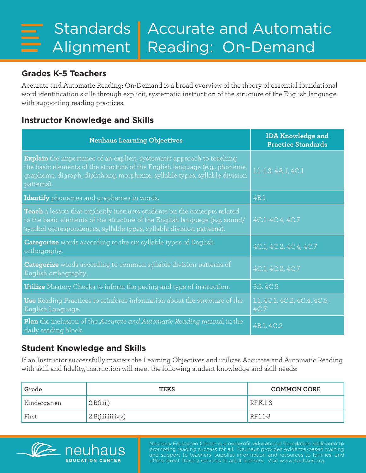## **Grades K-5 Teachers**

Accurate and Automatic Reading: On-Demand is a broad overview of the theory of essential foundational word identification skills through explicit, systematic instruction of the structure of the English language with supporting reading practices.

## **Instructor Knowledge and Skills**

| <b>Neuhaus Learning Objectives</b>                                                                                                                                                                                                                      | <b>IDA Knowledge and</b><br><b>Practice Standards</b> |
|---------------------------------------------------------------------------------------------------------------------------------------------------------------------------------------------------------------------------------------------------------|-------------------------------------------------------|
| <b>Explain</b> the importance of an explicit, systematic approach to teaching<br>the basic elements of the structure of the English language (e.g., phoneme,<br>grapheme, digraph, diphthong, morpheme, syllable types, syllable division<br>patterns). | 1.1-1.3, 4A.1, 4C.1                                   |
| Identify phonemes and graphemes in words.                                                                                                                                                                                                               | 4B.1                                                  |
| Teach a lesson that explicitly instructs students on the concepts related<br>to the basic elements of the structure of the English language (e.g. sound/<br>symbol correspondences, syllable types, syllable division patterns).                        | 4C.1-4C.4, 4C.7                                       |
| <b>Categorize</b> words according to the six syllable types of English<br>orthography.                                                                                                                                                                  | 4C.1, 4C.2, 4C.4, 4C.7                                |
| <b>Categorize</b> words according to common syllable division patterns of<br>English orthography.                                                                                                                                                       | 4C.1, 4C.2, 4C.7                                      |
| <b>Utilize</b> Mastery Checks to inform the pacing and type of instruction.                                                                                                                                                                             | 3.5, 4C.5                                             |
| Use Reading Practices to reinforce information about the structure of the<br>English Language.                                                                                                                                                          | 1.1, 4C.1, 4C.2, 4C.4, 4C.5,<br>4C.7                  |
| Plan the inclusion of the Accurate and Automatic Reading manual in the<br>daily reading block.                                                                                                                                                          | 4B.1, 4C.2                                            |

## **Student Knowledge and Skills**

If an Instructor successfully masters the Learning Objectives and utilizes Accurate and Automatic Reading with skill and fidelity, instruction will meet the following student knowledge and skill needs:

| Grade        | <b>TEKS</b>            | <b>COMMON CORE</b> |
|--------------|------------------------|--------------------|
| Kindergarten | 2.B(i, ii,)            | $REK.1-3$          |
| First        | 2.B(i, ii, iii, iv, v) | RF.1.1-3           |



Neuhaus Education Center is a nonprofit educational foundation dedicated to promoting reading success for all. Neuhaus provides evidence-based training and support to teachers, supplies information and resources to families, and offers direct literacy services to adult learners. Visit www.neuhaus.org.